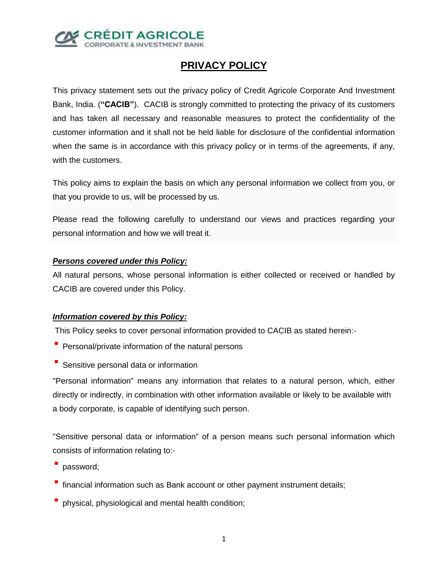

# **PRIVACY POLICY**

This privacy statement sets out the privacy policy of Credit Agricole Corporate And Investment Bank, India. (**"CACIB"**). CACIB is strongly committed to protecting the privacy of its customers and has taken all necessary and reasonable measures to protect the confidentiality of the customer information and it shall not be held liable for disclosure of the confidential information when the same is in accordance with this privacy policy or in terms of the agreements, if any, with the customers.

This policy aims to explain the basis on which any personal information we collect from you, or that you provide to us, will be processed by us.

Please read the following carefully to understand our views and practices regarding your personal information and how we will treat it.

# *Persons covered under this Policy:*

All natural persons, whose personal information is either collected or received or handled by CACIB are covered under this Policy.

# *Information covered by this Policy:*

This Policy seeks to cover personal information provided to CACIB as stated herein:-

- **Personal/private information of the natural persons**
- **Sensitive personal data or information**

"Personal information" means any information that relates to a natural person, which, either directly or indirectly, in combination with other information available or likely to be available with a body corporate, is capable of identifying such person.

"Sensitive personal data or information" of a person means such personal information which consists of information relating to:-

- password;
- financial information such as Bank account or other payment instrument details;
- physical, physiological and mental health condition;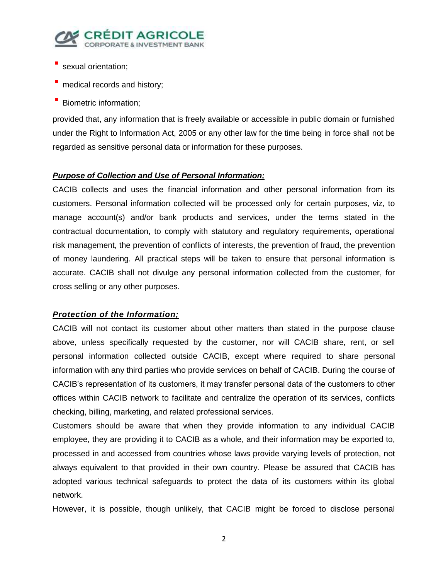

- sexual orientation;
- medical records and history;
- Biometric information;

provided that, any information that is freely available or accessible in public domain or furnished under the Right to Information Act, 2005 or any other law for the time being in force shall not be regarded as sensitive personal data or information for these purposes.

# *Purpose of Collection and Use of Personal Information;*

CACIB collects and uses the financial information and other personal information from its customers. Personal information collected will be processed only for certain purposes, viz, to manage account(s) and/or bank products and services, under the terms stated in the contractual documentation, to comply with statutory and regulatory requirements, operational risk management, the prevention of conflicts of interests, the prevention of fraud, the prevention of money laundering. All practical steps will be taken to ensure that personal information is accurate. CACIB shall not divulge any personal information collected from the customer, for cross selling or any other purposes.

# *Protection of the Information;*

CACIB will not contact its customer about other matters than stated in the purpose clause above, unless specifically requested by the customer, nor will CACIB share, rent, or sell personal information collected outside CACIB, except where required to share personal information with any third parties who provide services on behalf of CACIB. During the course of CACIB's representation of its customers, it may transfer personal data of the customers to other offices within CACIB network to facilitate and centralize the operation of its services, conflicts checking, billing, marketing, and related professional services.

Customers should be aware that when they provide information to any individual CACIB employee, they are providing it to CACIB as a whole, and their information may be exported to, processed in and accessed from countries whose laws provide varying levels of protection, not always equivalent to that provided in their own country. Please be assured that CACIB has adopted various technical safeguards to protect the data of its customers within its global network.

However, it is possible, though unlikely, that CACIB might be forced to disclose personal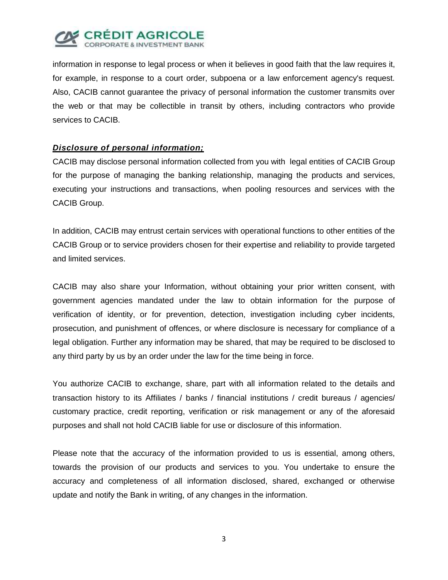

information in response to legal process or when it believes in good faith that the law requires it, for example, in response to a court order, subpoena or a law enforcement agency's request. Also, CACIB cannot guarantee the privacy of personal information the customer transmits over the web or that may be collectible in transit by others, including contractors who provide services to CACIB.

## *Disclosure of personal information;*

CACIB may disclose personal information collected from you with legal entities of CACIB Group for the purpose of managing the banking relationship, managing the products and services, executing your instructions and transactions, when pooling resources and services with the CACIB Group.

In addition, CACIB may entrust certain services with operational functions to other entities of the CACIB Group or to service providers chosen for their expertise and reliability to provide targeted and limited services.

CACIB may also share your Information, without obtaining your prior written consent, with government agencies mandated under the law to obtain information for the purpose of verification of identity, or for prevention, detection, investigation including cyber incidents, prosecution, and punishment of offences, or where disclosure is necessary for compliance of a legal obligation. Further any information may be shared, that may be required to be disclosed to any third party by us by an order under the law for the time being in force.

You authorize CACIB to exchange, share, part with all information related to the details and transaction history to its Affiliates / banks / financial institutions / credit bureaus / agencies/ customary practice, credit reporting, verification or risk management or any of the aforesaid purposes and shall not hold CACIB liable for use or disclosure of this information.

Please note that the accuracy of the information provided to us is essential, among others, towards the provision of our products and services to you. You undertake to ensure the accuracy and completeness of all information disclosed, shared, exchanged or otherwise update and notify the Bank in writing, of any changes in the information.

3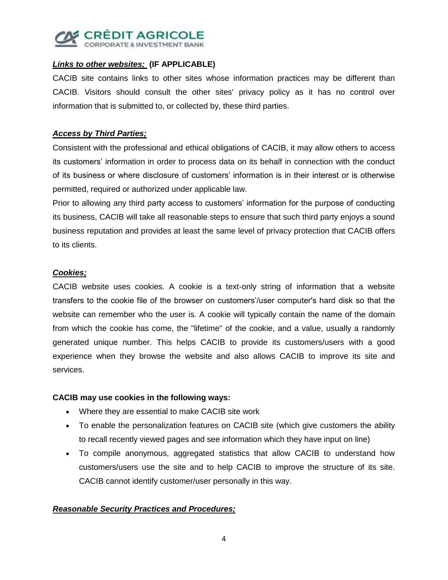

# *Links to other websites;* **(IF APPLICABLE)**

CACIB site contains links to other sites whose information practices may be different than CACIB. Visitors should consult the other sites' privacy policy as it has no control over information that is submitted to, or collected by, these third parties.

#### *Access by Third Parties;*

Consistent with the professional and ethical obligations of CACIB, it may allow others to access its customers' information in order to process data on its behalf in connection with the conduct of its business or where disclosure of customers' information is in their interest or is otherwise permitted, required or authorized under applicable law.

Prior to allowing any third party access to customers' information for the purpose of conducting its business, CACIB will take all reasonable steps to ensure that such third party enjoys a sound business reputation and provides at least the same level of privacy protection that CACIB offers to its clients.

# *Cookies;*

CACIB website uses cookies. A cookie is a text-only string of information that a website transfers to the cookie file of the browser on customers'/user computer's hard disk so that the website can remember who the user is. A cookie will typically contain the name of the domain from which the cookie has come, the "lifetime" of the cookie, and a value, usually a randomly generated unique number. This helps CACIB to provide its customers/users with a good experience when they browse the website and also allows CACIB to improve its site and services.

#### **CACIB may use cookies in the following ways:**

- Where they are essential to make CACIB site work
- To enable the personalization features on CACIB site (which give customers the ability to recall recently viewed pages and see information which they have input on line)
- To compile anonymous, aggregated statistics that allow CACIB to understand how customers/users use the site and to help CACIB to improve the structure of its site. CACIB cannot identify customer/user personally in this way.

# *Reasonable Security Practices and Procedures;*